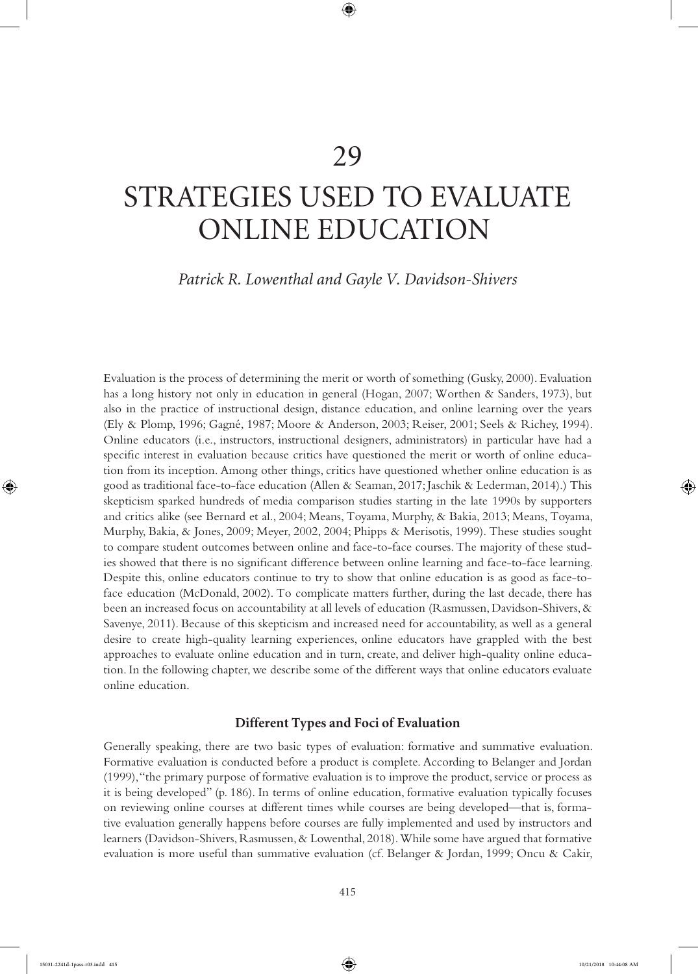# 29

⊕

# STRATEGIES USED TO EVALUATE ONLINE EDUCATION

# *Patrick R. Lowenthal and Gayle V. Davidson-Shivers*

Evaluation is the process of determining the merit or worth of something (Gusky, 2000). Evaluation has a long history not only in education in general (Hogan, 2007; Worthen & Sanders, 1973), but also in the practice of instructional design, distance education, and online learning over the years (Ely & Plomp, 1996; Gagné, 1987; Moore & Anderson, 2003; Reiser, 2001; Seels & Richey, 1994). Online educators (i.e., instructors, instructional designers, administrators) in particular have had a specific interest in evaluation because critics have questioned the merit or worth of online education from its inception. Among other things, critics have questioned whether online education is as good as traditional face-to-face education (Allen & Seaman, 2017; Jaschik & Lederman, 2014).) This skepticism sparked hundreds of media comparison studies starting in the late 1990s by supporters and critics alike (see Bernard et al., 2004; Means, Toyama, Murphy, & Bakia, 2013; Means, Toyama, Murphy, Bakia, & Jones, 2009; Meyer, 2002, 2004; Phipps & Merisotis, 1999). These studies sought to compare student outcomes between online and face-to-face courses. The majority of these studies showed that there is no significant difference between online learning and face-to-face learning. Despite this, online educators continue to try to show that online education is as good as face-toface education (McDonald, 2002). To complicate matters further, during the last decade, there has been an increased focus on accountability at all levels of education (Rasmussen, Davidson-Shivers, & Savenye, 2011). Because of this skepticism and increased need for accountability, as well as a general desire to create high-quality learning experiences, online educators have grappled with the best approaches to evaluate online education and in turn, create, and deliver high-quality online education. In the following chapter, we describe some of the different ways that online educators evaluate online education.

# **Different Types and Foci of Evaluation**

Generally speaking, there are two basic types of evaluation: formative and summative evaluation. Formative evaluation is conducted before a product is complete. According to Belanger and Jordan (1999), "the primary purpose of formative evaluation is to improve the product, service or process as it is being developed" (p. 186). In terms of online education, formative evaluation typically focuses on reviewing online courses at different times while courses are being developed—that is, formative evaluation generally happens before courses are fully implemented and used by instructors and learners (Davidson-Shivers, Rasmussen,& Lowenthal, 2018). While some have argued that formative evaluation is more useful than summative evaluation (cf. Belanger & Jordan, 1999; Oncu & Cakir,

15031-2241d-1pass-r03.indd 415 10/21/2018 10:44:08 AM

⊕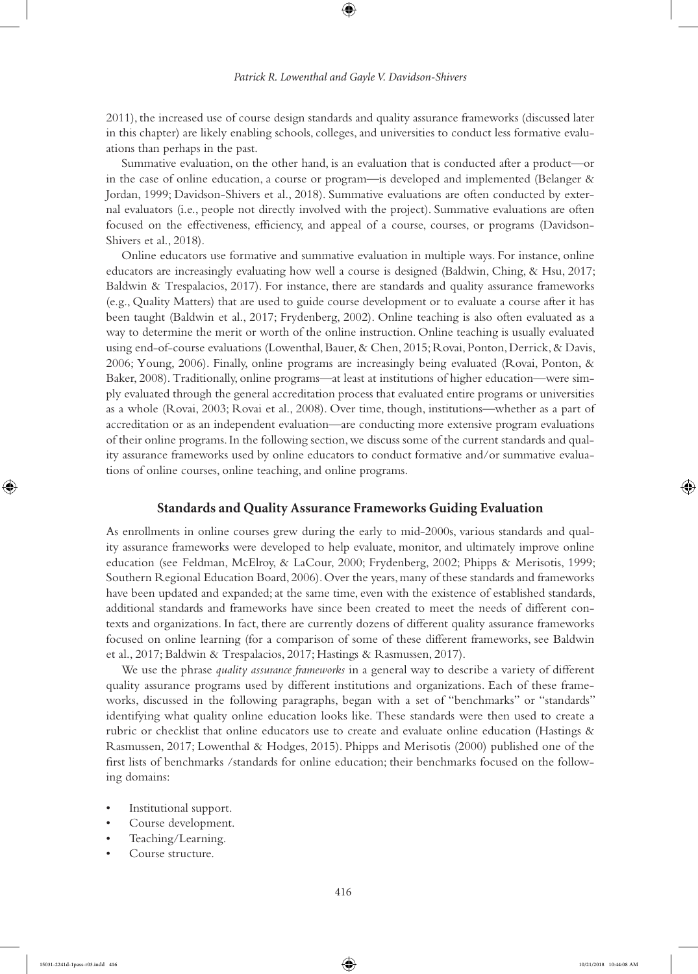⊕

2011), the increased use of course design standards and quality assurance frameworks (discussed later in this chapter) are likely enabling schools, colleges, and universities to conduct less formative evaluations than perhaps in the past.

Summative evaluation, on the other hand, is an evaluation that is conducted after a product—or in the case of online education, a course or program—is developed and implemented (Belanger & Jordan, 1999; Davidson-Shivers et al., 2018). Summative evaluations are often conducted by external evaluators (i.e., people not directly involved with the project). Summative evaluations are often focused on the effectiveness, efficiency, and appeal of a course, courses, or programs (Davidson-Shivers et al., 2018).

Online educators use formative and summative evaluation in multiple ways. For instance, online educators are increasingly evaluating how well a course is designed (Baldwin, Ching, & Hsu, 2017; Baldwin & Trespalacios, 2017). For instance, there are standards and quality assurance frameworks (e.g., Quality Matters) that are used to guide course development or to evaluate a course after it has been taught (Baldwin et al., 2017; Frydenberg, 2002). Online teaching is also often evaluated as a way to determine the merit or worth of the online instruction. Online teaching is usually evaluated using end-of-course evaluations (Lowenthal, Bauer,& Chen, 2015; Rovai, Ponton, Derrick,& Davis, 2006; Young, 2006). Finally, online programs are increasingly being evaluated (Rovai, Ponton, & Baker, 2008). Traditionally, online programs—at least at institutions of higher education—were simply evaluated through the general accreditation process that evaluated entire programs or universities as a whole (Rovai, 2003; Rovai et al., 2008). Over time, though, institutions—whether as a part of accreditation or as an independent evaluation—are conducting more extensive program evaluations of their online programs. In the following section, we discuss some of the current standards and quality assurance frameworks used by online educators to conduct formative and/or summative evaluations of online courses, online teaching, and online programs.

## **Standards and Quality Assurance Frameworks Guiding Evaluation**

As enrollments in online courses grew during the early to mid-2000s, various standards and quality assurance frameworks were developed to help evaluate, monitor, and ultimately improve online education (see Feldman, McElroy, & LaCour, 2000; Frydenberg, 2002; Phipps & Merisotis, 1999; Southern Regional Education Board, 2006). Over the years, many of these standards and frameworks have been updated and expanded; at the same time, even with the existence of established standards, additional standards and frameworks have since been created to meet the needs of different contexts and organizations. In fact, there are currently dozens of different quality assurance frameworks focused on online learning (for a comparison of some of these different frameworks, see Baldwin et al., 2017; Baldwin & Trespalacios, 2017; Hastings & Rasmussen, 2017).

We use the phrase *quality assurance frameworks* in a general way to describe a variety of different quality assurance programs used by different institutions and organizations. Each of these frameworks, discussed in the following paragraphs, began with a set of "benchmarks" or "standards" identifying what quality online education looks like. These standards were then used to create a rubric or checklist that online educators use to create and evaluate online education (Hastings & Rasmussen, 2017; Lowenthal & Hodges, 2015). Phipps and Merisotis (2000) published one of the first lists of benchmarks /standards for online education; their benchmarks focused on the following domains:

- Institutional support.
- Course development.
- Teaching/Learning.
- Course structure.

15031-2241d-1pass-r03.indd 416 10/21/2018 10:44:08 AM

⊕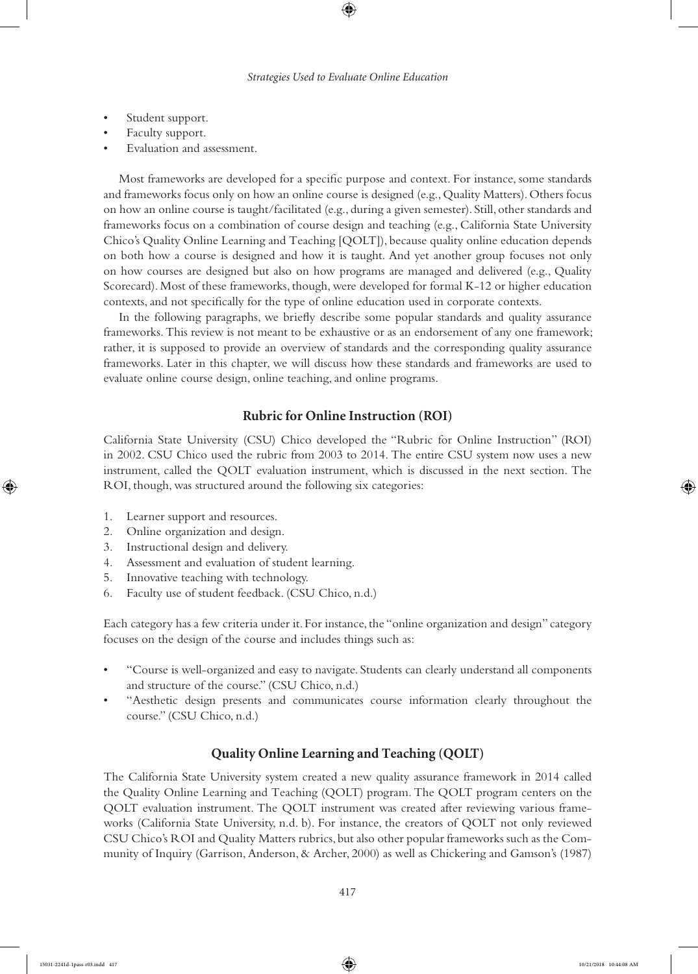⊕

- Student support.
- Faculty support.
- Evaluation and assessment.

Most frameworks are developed for a specific purpose and context. For instance, some standards and frameworks focus only on how an online course is designed (e.g.,Quality Matters). Others focus on how an online course is taught/facilitated (e.g., during a given semester). Still, other standards and frameworks focus on a combination of course design and teaching (e.g., California State University Chico's Quality Online Learning and Teaching [QOLT]), because quality online education depends on both how a course is designed and how it is taught. And yet another group focuses not only on how courses are designed but also on how programs are managed and delivered (e.g., Quality Scorecard). Most of these frameworks, though, were developed for formal K-12 or higher education contexts, and not specifically for the type of online education used in corporate contexts.

In the following paragraphs, we briefly describe some popular standards and quality assurance frameworks. This review is not meant to be exhaustive or as an endorsement of any one framework; rather, it is supposed to provide an overview of standards and the corresponding quality assurance frameworks. Later in this chapter, we will discuss how these standards and frameworks are used to evaluate online course design, online teaching, and online programs.

#### **Rubric for Online Instruction (ROI)**

California State University (CSU) Chico developed the "Rubric for Online Instruction" (ROI) in 2002. CSU Chico used the rubric from 2003 to 2014. The entire CSU system now uses a new instrument, called the QOLT evaluation instrument, which is discussed in the next section. The ROI, though, was structured around the following six categories:

- 1. Learner support and resources.
- 2. Online organization and design.
- 3. Instructional design and delivery.
- 4. Assessment and evaluation of student learning.
- 5. Innovative teaching with technology.
- Faculty use of student feedback. (CSU Chico, n.d.)

Each category has a few criteria under it. For instance, the "online organization and design" category focuses on the design of the course and includes things such as:

- "Course is well-organized and easy to navigate. Students can clearly understand all components and structure of the course." (CSU Chico, n.d.)
- "Aesthetic design presents and communicates course information clearly throughout the course." (CSU Chico, n.d.)

# **Quality Online Learning and Teaching (QOLT)**

The California State University system created a new quality assurance framework in 2014 called the Quality Online Learning and Teaching (QOLT) program. The QOLT program centers on the QOLT evaluation instrument. The QOLT instrument was created after reviewing various frameworks (California State University, n.d. b). For instance, the creators of QOLT not only reviewed CSU Chico's ROI and Quality Matters rubrics, but also other popular frameworks such as the Community of Inquiry (Garrison, Anderson, & Archer, 2000) as well as Chickering and Gamson's (1987)

⊕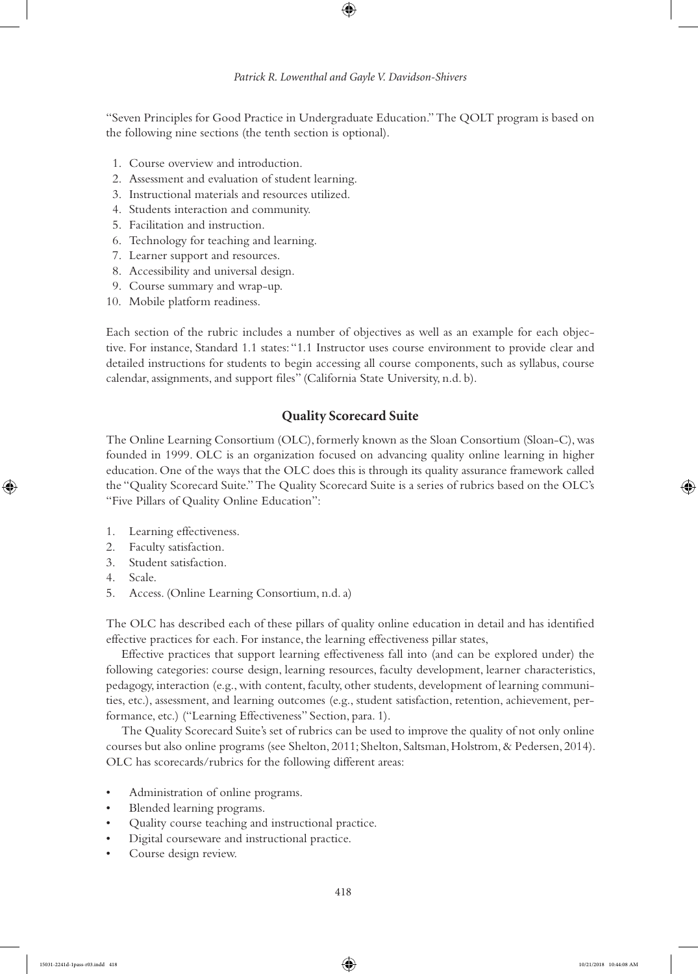⊕

"Seven Principles for Good Practice in Undergraduate Education." The QOLT program is based on the following nine sections (the tenth section is optional).

- 1. Course overview and introduction.
- 2. Assessment and evaluation of student learning.
- 3. Instructional materials and resources utilized.
- 4. Students interaction and community.
- 5. Facilitation and instruction.
- 6. Technology for teaching and learning.
- 7. Learner support and resources.
- 8. Accessibility and universal design.
- 9. Course summary and wrap-up.
- 10. Mobile platform readiness.

Each section of the rubric includes a number of objectives as well as an example for each objective. For instance, Standard 1.1 states: "1.1 Instructor uses course environment to provide clear and detailed instructions for students to begin accessing all course components, such as syllabus, course calendar, assignments, and support files" (California State University, n.d. b).

#### **Quality Scorecard Suite**

The Online Learning Consortium (OLC), formerly known as the Sloan Consortium (Sloan-C), was founded in 1999. OLC is an organization focused on advancing quality online learning in higher education. One of the ways that the OLC does this is through its quality assurance framework called the "Quality Scorecard Suite." The Quality Scorecard Suite is a series of rubrics based on the OLC's "Five Pillars of Quality Online Education":

- 1. Learning effectiveness.
- 2. Faculty satisfaction.
- 3. Student satisfaction.
- 4. Scale.

⊕

5. Access. (Online Learning Consortium, n.d. a)

The OLC has described each of these pillars of quality online education in detail and has identified effective practices for each. For instance, the learning effectiveness pillar states,

Effective practices that support learning effectiveness fall into (and can be explored under) the following categories: course design, learning resources, faculty development, learner characteristics, pedagogy, interaction (e.g., with content, faculty, other students, development of learning communities, etc.), assessment, and learning outcomes (e.g., student satisfaction, retention, achievement, performance, etc.) ("Learning Effectiveness" Section, para. 1).

The Quality Scorecard Suite's set of rubrics can be used to improve the quality of not only online courses but also online programs (see Shelton, 2011; Shelton, Saltsman, Holstrom, & Pedersen, 2014). OLC has scorecards/rubrics for the following different areas:

- Administration of online programs.
- Blended learning programs.
- Quality course teaching and instructional practice.
- Digital courseware and instructional practice.
- Course design review.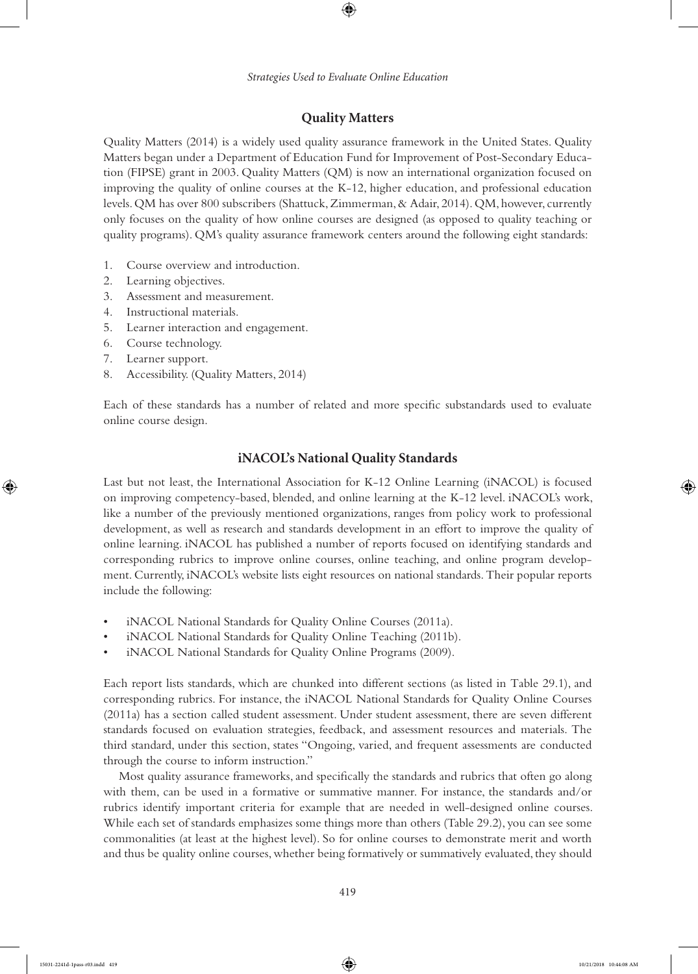⊕

# **Quality Matters**

Quality Matters (2014) is a widely used quality assurance framework in the United States. Quality Matters began under a Department of Education Fund for Improvement of Post-Secondary Education (FIPSE) grant in 2003. Quality Matters (QM) is now an international organization focused on improving the quality of online courses at the K-12, higher education, and professional education levels. QM has over 800 subscribers (Shattuck, Zimmerman,& Adair, 2014). QM, however, currently only focuses on the quality of how online courses are designed (as opposed to quality teaching or quality programs). QM's quality assurance framework centers around the following eight standards:

- 1. Course overview and introduction.
- 2. Learning objectives.
- 3. Assessment and measurement.
- 4. Instructional materials.
- 5. Learner interaction and engagement.
- 6. Course technology.
- 7. Learner support.
- 8. Accessibility. (Quality Matters, 2014)

Each of these standards has a number of related and more specific substandards used to evaluate online course design.

#### **iNACOL's National Quality Standards**

Last but not least, the International Association for K-12 Online Learning (iNACOL) is focused on improving competency-based, blended, and online learning at the K-12 level. iNACOL's work, like a number of the previously mentioned organizations, ranges from policy work to professional development, as well as research and standards development in an effort to improve the quality of online learning. iNACOL has published a number of reports focused on identifying standards and corresponding rubrics to improve online courses, online teaching, and online program development. Currently, iNACOL's website lists eight resources on national standards. Their popular reports include the following:

- iNACOL National Standards for Quality Online Courses (2011a).
- iNACOL National Standards for Quality Online Teaching (2011b).
- iNACOL National Standards for Quality Online Programs (2009).

Each report lists standards, which are chunked into different sections (as listed in Table 29.1), and corresponding rubrics. For instance, the iNACOL National Standards for Quality Online Courses (2011a) has a section called student assessment. Under student assessment, there are seven different standards focused on evaluation strategies, feedback, and assessment resources and materials. The third standard, under this section, states "Ongoing, varied, and frequent assessments are conducted through the course to inform instruction."

Most quality assurance frameworks, and specifically the standards and rubrics that often go along with them, can be used in a formative or summative manner. For instance, the standards and/or rubrics identify important criteria for example that are needed in well-designed online courses. While each set of standards emphasizes some things more than others (Table 29.2), you can see some commonalities (at least at the highest level). So for online courses to demonstrate merit and worth and thus be quality online courses, whether being formatively or summatively evaluated, they should

15031-2241d-1pass-r03.indd 419 10/21/2018 10:44:08 AM

⊕

↔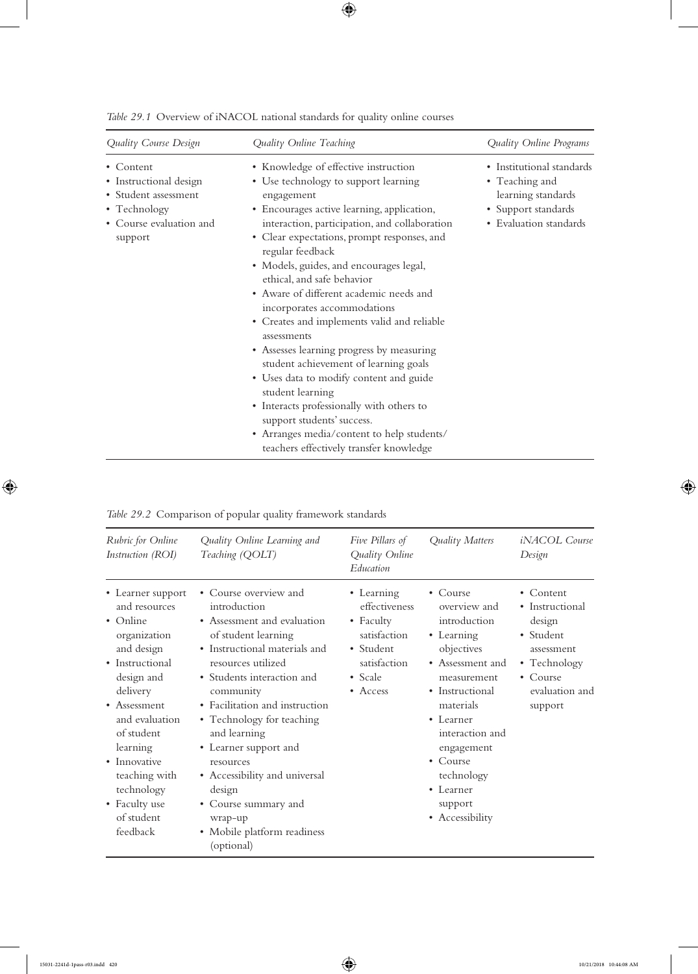| Quality Course Design                                                                                                     | Quality Online Teaching                                                                                                                                                                                                                                                                                                                                                                                                                                                                                                                                                                                                                                                                                                                                                                                | Quality Online Programs                                                                                            |  |
|---------------------------------------------------------------------------------------------------------------------------|--------------------------------------------------------------------------------------------------------------------------------------------------------------------------------------------------------------------------------------------------------------------------------------------------------------------------------------------------------------------------------------------------------------------------------------------------------------------------------------------------------------------------------------------------------------------------------------------------------------------------------------------------------------------------------------------------------------------------------------------------------------------------------------------------------|--------------------------------------------------------------------------------------------------------------------|--|
| $\bullet$ Content<br>• Instructional design<br>• Student assessment<br>• Technology<br>• Course evaluation and<br>support | • Knowledge of effective instruction<br>• Use technology to support learning<br>engagement<br>• Encourages active learning, application,<br>interaction, participation, and collaboration<br>• Clear expectations, prompt responses, and<br>regular feedback<br>· Models, guides, and encourages legal,<br>ethical, and safe behavior<br>• Aware of different academic needs and<br>incorporates accommodations<br>• Creates and implements valid and reliable<br>assessments<br>• Assesses learning progress by measuring<br>student achievement of learning goals<br>• Uses data to modify content and guide<br>student learning<br>• Interacts professionally with others to<br>support students' success.<br>• Arranges media/content to help students/<br>teachers effectively transfer knowledge | • Institutional standards<br>• Teaching and<br>learning standards<br>• Support standards<br>• Evaluation standards |  |

 $\bigoplus$ 

*Table 29.1* Overview of iNACOL national standards for quality online courses

*Table 29.2* Comparison of popular quality framework standards

| Rubric for Online<br><i>Instruction (ROI)</i>                                                                                                                                                                                                                                   | Quality Online Learning and<br>Teaching (QOLT)                                                                                                                                                                                                                                                                                                                                                                                                | Five Pillars of<br>Quality Online<br>Education                                                               | Quality Matters                                                                                                                                                                                                                                            | iNACOL Course<br>Design                                                                                                            |
|---------------------------------------------------------------------------------------------------------------------------------------------------------------------------------------------------------------------------------------------------------------------------------|-----------------------------------------------------------------------------------------------------------------------------------------------------------------------------------------------------------------------------------------------------------------------------------------------------------------------------------------------------------------------------------------------------------------------------------------------|--------------------------------------------------------------------------------------------------------------|------------------------------------------------------------------------------------------------------------------------------------------------------------------------------------------------------------------------------------------------------------|------------------------------------------------------------------------------------------------------------------------------------|
| • Learner support<br>and resources<br>• Online<br>organization<br>and design<br>• Instructional<br>design and<br>delivery<br>• Assessment<br>and evaluation<br>of student<br>learning<br>• Innovative<br>teaching with<br>technology<br>• Faculty use<br>of student<br>feedback | • Course overview and<br>introduction<br>• Assessment and evaluation<br>of student learning<br>• Instructional materials and<br>resources utilized<br>• Students interaction and<br>community<br>• Facilitation and instruction<br>• Technology for teaching<br>and learning<br>• Learner support and<br>resources<br>• Accessibility and universal<br>design<br>• Course summary and<br>wrap-up<br>• Mobile platform readiness<br>(optional) | • Learning<br>effectiveness<br>• Faculty<br>satisfaction<br>• Student<br>satisfaction<br>• Scale<br>• Access | • Course<br>overview and<br>introduction<br>• Learning<br>objectives<br>• Assessment and<br>measurement<br>• Instructional<br>materials<br>• Learner<br>interaction and<br>engagement<br>• Course<br>technology<br>• Learner<br>support<br>• Accessibility | • Content<br>• Instructional<br>design<br>• Student<br>assessment<br>• Technology<br>$\bullet$ Course<br>evaluation and<br>support |

 $\bigoplus$ 

 $\bigoplus$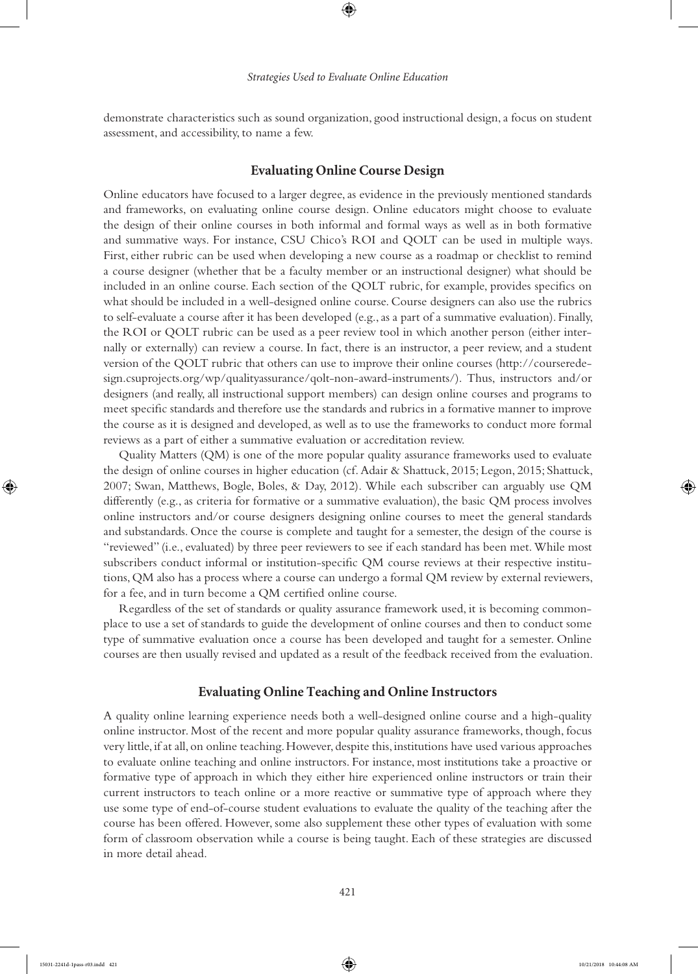⊕

demonstrate characteristics such as sound organization, good instructional design, a focus on student assessment, and accessibility, to name a few.

# **Evaluating Online Course Design**

Online educators have focused to a larger degree, as evidence in the previously mentioned standards and frameworks, on evaluating online course design. Online educators might choose to evaluate the design of their online courses in both informal and formal ways as well as in both formative and summative ways. For instance, CSU Chico's ROI and QOLT can be used in multiple ways. First, either rubric can be used when developing a new course as a roadmap or checklist to remind a course designer (whether that be a faculty member or an instructional designer) what should be included in an online course. Each section of the QOLT rubric, for example, provides specifics on what should be included in a well-designed online course. Course designers can also use the rubrics to self-evaluate a course after it has been developed (e.g.,as a part of a summative evaluation). Finally, the ROI or QOLT rubric can be used as a peer review tool in which another person (either internally or externally) can review a course. In fact, there is an instructor, a peer review, and a student version of the QOLT rubric that others can use to improve their online courses (http://courseredesign.csuprojects.org/wp/qualityassurance/qolt-non-award-instruments/). Thus, instructors and/or designers (and really, all instructional support members) can design online courses and programs to meet specific standards and therefore use the standards and rubrics in a formative manner to improve the course as it is designed and developed, as well as to use the frameworks to conduct more formal reviews as a part of either a summative evaluation or accreditation review.

Quality Matters (QM) is one of the more popular quality assurance frameworks used to evaluate the design of online courses in higher education (cf. Adair & Shattuck, 2015; Legon, 2015; Shattuck, 2007; Swan, Matthews, Bogle, Boles, & Day, 2012). While each subscriber can arguably use QM differently (e.g., as criteria for formative or a summative evaluation), the basic QM process involves online instructors and/or course designers designing online courses to meet the general standards and substandards. Once the course is complete and taught for a semester, the design of the course is "reviewed" (i.e., evaluated) by three peer reviewers to see if each standard has been met. While most subscribers conduct informal or institution-specific QM course reviews at their respective institutions, QM also has a process where a course can undergo a formal QM review by external reviewers, for a fee, and in turn become a QM certified online course.

Regardless of the set of standards or quality assurance framework used, it is becoming commonplace to use a set of standards to guide the development of online courses and then to conduct some type of summative evaluation once a course has been developed and taught for a semester. Online courses are then usually revised and updated as a result of the feedback received from the evaluation.

## **Evaluating Online Teaching and Online Instructors**

A quality online learning experience needs both a well-designed online course and a high-quality online instructor. Most of the recent and more popular quality assurance frameworks, though, focus very little, if at all, on online teaching. However, despite this, institutions have used various approaches to evaluate online teaching and online instructors. For instance, most institutions take a proactive or formative type of approach in which they either hire experienced online instructors or train their current instructors to teach online or a more reactive or summative type of approach where they use some type of end-of-course student evaluations to evaluate the quality of the teaching after the course has been offered. However, some also supplement these other types of evaluation with some form of classroom observation while a course is being taught. Each of these strategies are discussed in more detail ahead.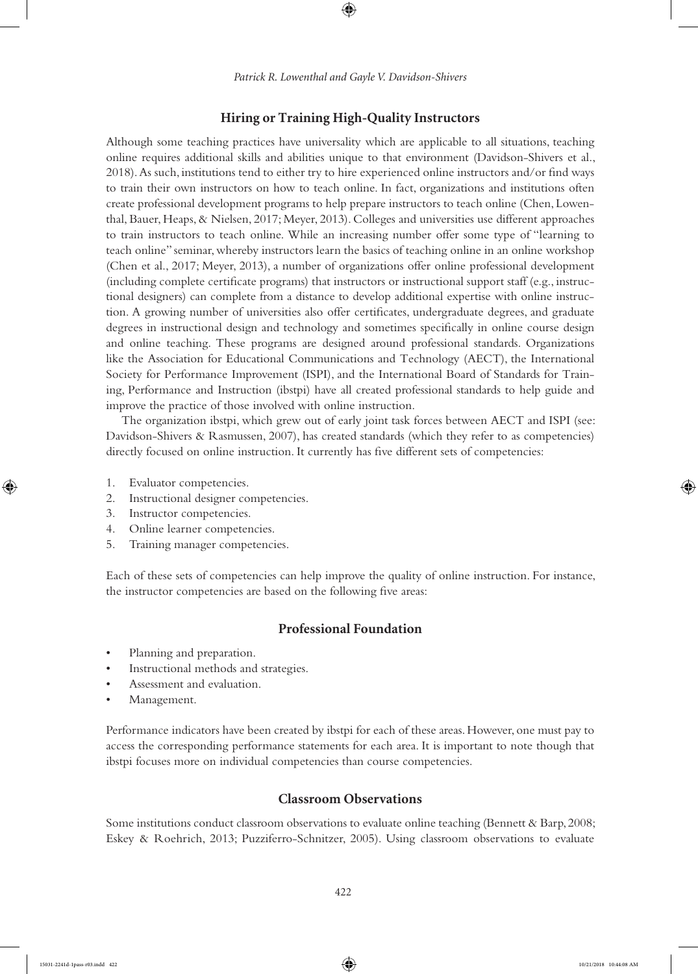⊕

# **Hiring or Training High-Quality Instructors**

Although some teaching practices have universality which are applicable to all situations, teaching online requires additional skills and abilities unique to that environment (Davidson-Shivers et al., 2018). As such, institutions tend to either try to hire experienced online instructors and/or find ways to train their own instructors on how to teach online. In fact, organizations and institutions often create professional development programs to help prepare instructors to teach online (Chen, Lowenthal, Bauer, Heaps, & Nielsen, 2017; Meyer, 2013). Colleges and universities use different approaches to train instructors to teach online. While an increasing number offer some type of "learning to teach online" seminar, whereby instructors learn the basics of teaching online in an online workshop (Chen et al., 2017; Meyer, 2013), a number of organizations offer online professional development (including complete certificate programs) that instructors or instructional support staff (e.g., instructional designers) can complete from a distance to develop additional expertise with online instruction. A growing number of universities also offer certificates, undergraduate degrees, and graduate degrees in instructional design and technology and sometimes specifically in online course design and online teaching. These programs are designed around professional standards. Organizations like the Association for Educational Communications and Technology (AECT), the International Society for Performance Improvement (ISPI), and the International Board of Standards for Training, Performance and Instruction (ibstpi) have all created professional standards to help guide and improve the practice of those involved with online instruction.

The organization ibstpi, which grew out of early joint task forces between AECT and ISPI (see: Davidson-Shivers & Rasmussen, 2007), has created standards (which they refer to as competencies) directly focused on online instruction. It currently has five different sets of competencies:

- 1. Evaluator competencies.
- 2. Instructional designer competencies.
- 3. Instructor competencies.
- 4. Online learner competencies.
- 5. Training manager competencies.

Each of these sets of competencies can help improve the quality of online instruction. For instance, the instructor competencies are based on the following five areas:

# **Professional Foundation**

- Planning and preparation.
- Instructional methods and strategies.
- Assessment and evaluation.
- Management.

Performance indicators have been created by ibstpi for each of these areas. However, one must pay to access the corresponding performance statements for each area. It is important to note though that ibstpi focuses more on individual competencies than course competencies.

#### **Classroom Observations**

Some institutions conduct classroom observations to evaluate online teaching (Bennett & Barp, 2008; Eskey & Roehrich, 2013; Puzziferro-Schnitzer, 2005). Using classroom observations to evaluate

15031-2241d-1pass-r03.indd 422 10/21/2018 10:44:08 AM

⊕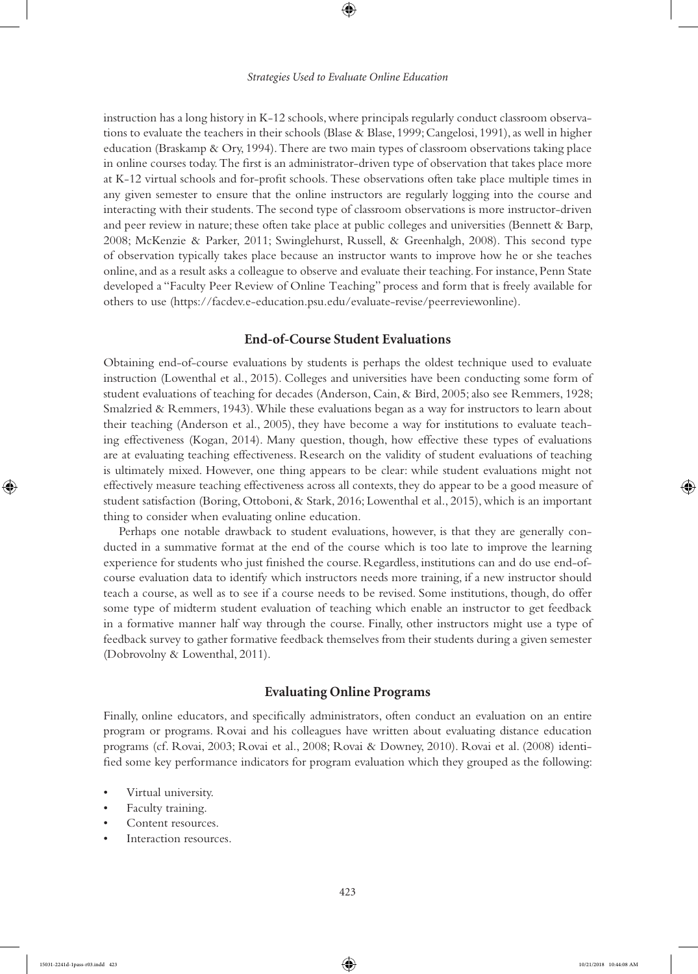⊕

instruction has a long history in K-12 schools, where principals regularly conduct classroom observations to evaluate the teachers in their schools (Blase & Blase, 1999; Cangelosi, 1991), as well in higher education (Braskamp & Ory, 1994). There are two main types of classroom observations taking place in online courses today. The first is an administrator-driven type of observation that takes place more at K-12 virtual schools and for-profit schools. These observations often take place multiple times in any given semester to ensure that the online instructors are regularly logging into the course and interacting with their students. The second type of classroom observations is more instructor-driven and peer review in nature; these often take place at public colleges and universities (Bennett & Barp, 2008; McKenzie & Parker, 2011; Swinglehurst, Russell, & Greenhalgh, 2008). This second type of observation typically takes place because an instructor wants to improve how he or she teaches online, and as a result asks a colleague to observe and evaluate their teaching. For instance, Penn State developed a "Faculty Peer Review of Online Teaching" process and form that is freely available for others to use (https://facdev.e-education.psu.edu/evaluate-revise/peerreviewonline).

# **End-of-Course Student Evaluations**

Obtaining end-of-course evaluations by students is perhaps the oldest technique used to evaluate instruction (Lowenthal et al., 2015). Colleges and universities have been conducting some form of student evaluations of teaching for decades (Anderson, Cain, & Bird, 2005; also see Remmers, 1928; Smalzried & Remmers, 1943). While these evaluations began as a way for instructors to learn about their teaching (Anderson et al., 2005), they have become a way for institutions to evaluate teaching effectiveness (Kogan, 2014). Many question, though, how effective these types of evaluations are at evaluating teaching effectiveness. Research on the validity of student evaluations of teaching is ultimately mixed. However, one thing appears to be clear: while student evaluations might not effectively measure teaching effectiveness across all contexts, they do appear to be a good measure of student satisfaction (Boring, Ottoboni, & Stark, 2016; Lowenthal et al., 2015), which is an important thing to consider when evaluating online education.

Perhaps one notable drawback to student evaluations, however, is that they are generally conducted in a summative format at the end of the course which is too late to improve the learning experience for students who just finished the course. Regardless, institutions can and do use end-ofcourse evaluation data to identify which instructors needs more training, if a new instructor should teach a course, as well as to see if a course needs to be revised. Some institutions, though, do offer some type of midterm student evaluation of teaching which enable an instructor to get feedback in a formative manner half way through the course. Finally, other instructors might use a type of feedback survey to gather formative feedback themselves from their students during a given semester (Dobrovolny & Lowenthal, 2011).

## **Evaluating Online Programs**

Finally, online educators, and specifically administrators, often conduct an evaluation on an entire program or programs. Rovai and his colleagues have written about evaluating distance education programs (cf. Rovai, 2003; Rovai et al., 2008; Rovai & Downey, 2010). Rovai et al. (2008) identified some key performance indicators for program evaluation which they grouped as the following:

- Virtual university.
- Faculty training.
- Content resources.
- Interaction resources.

15031-2241d-1pass-r03.indd 423 10/21/2018 10:44:08 AM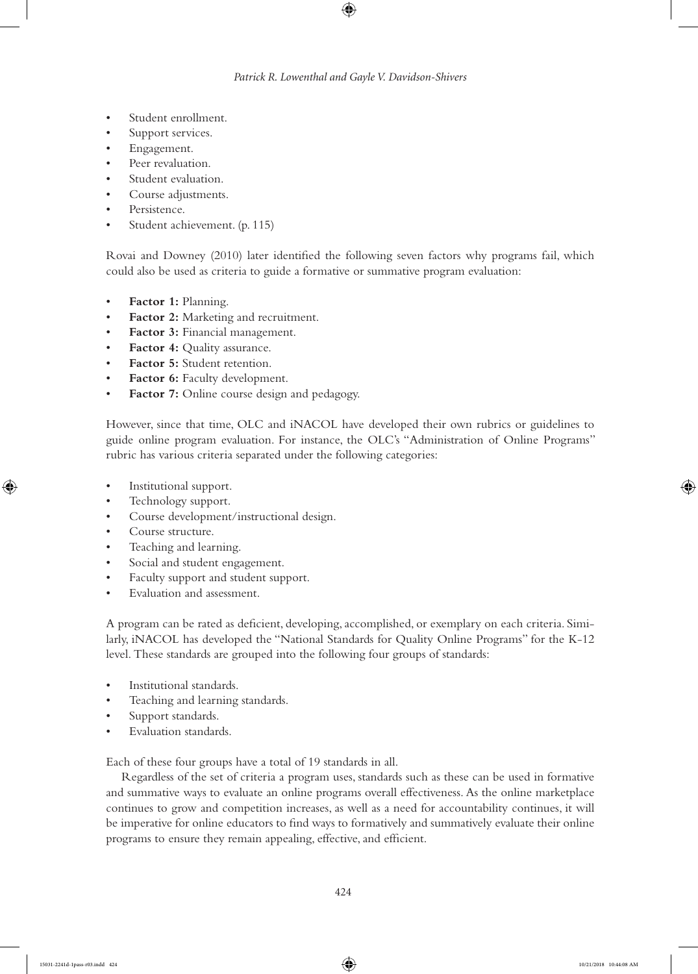⊕

- Student enrollment.
- Support services.
- Engagement.
- Peer revaluation.
- Student evaluation.
- Course adjustments.
- Persistence.
- Student achievement. (p. 115)

Rovai and Downey (2010) later identified the following seven factors why programs fail, which could also be used as criteria to guide a formative or summative program evaluation:

- **Factor 1:** Planning.
- Factor 2: Marketing and recruitment.
- Factor 3: Financial management.
- Factor 4: Quality assurance.
- Factor 5: Student retention.
- Factor 6: Faculty development.
- Factor 7: Online course design and pedagogy.

However, since that time, OLC and iNACOL have developed their own rubrics or guidelines to guide online program evaluation. For instance, the OLC's "Administration of Online Programs" rubric has various criteria separated under the following categories:

• Institutional support.

⊕

- Technology support.
- Course development/instructional design.
- Course structure.
- Teaching and learning.
- Social and student engagement.
- Faculty support and student support.
- Evaluation and assessment.

A program can be rated as deficient, developing, accomplished, or exemplary on each criteria. Similarly, iNACOL has developed the "National Standards for Quality Online Programs" for the K-12 level. These standards are grouped into the following four groups of standards:

- Institutional standards.
- Teaching and learning standards.
- Support standards.
- Evaluation standards.

Each of these four groups have a total of 19 standards in all.

Regardless of the set of criteria a program uses, standards such as these can be used in formative and summative ways to evaluate an online programs overall effectiveness. As the online marketplace continues to grow and competition increases, as well as a need for accountability continues, it will be imperative for online educators to find ways to formatively and summatively evaluate their online programs to ensure they remain appealing, effective, and efficient.

15031-2241d-1pass-r03.indd 424 10/21/2018 10:44:08 AM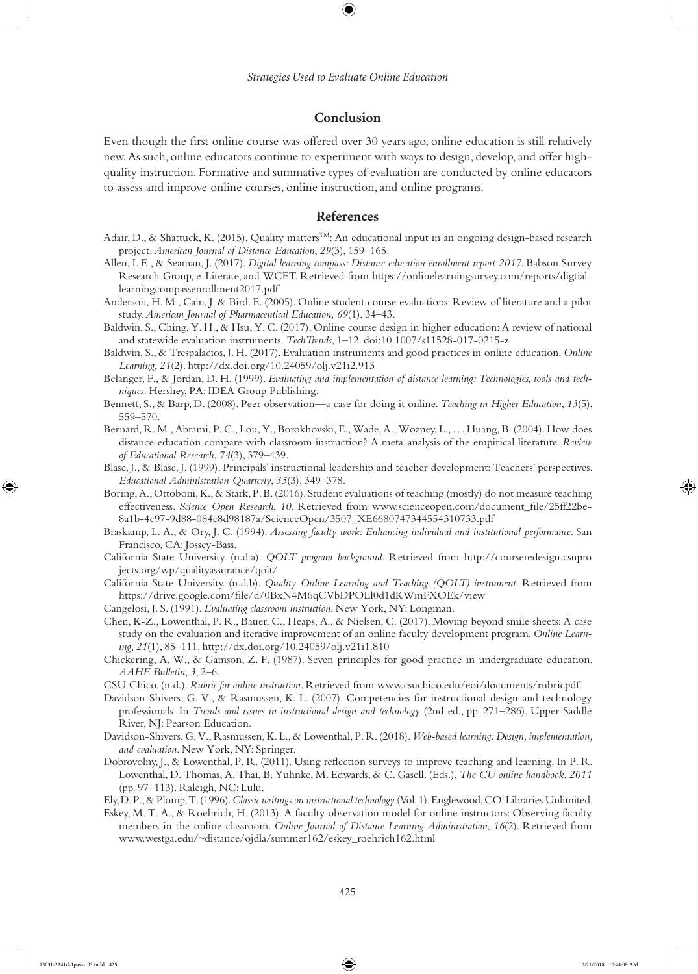⊕

# **Conclusion**

Even though the first online course was offered over 30 years ago, online education is still relatively new. As such, online educators continue to experiment with ways to design, develop, and offer highquality instruction. Formative and summative types of evaluation are conducted by online educators to assess and improve online courses, online instruction, and online programs.

# **References**

- Adair, D., & Shattuck, K. (2015). Quality mattersTM: An educational input in an ongoing design-based research project. *American Journal of Distance Education*, *29*(3), 159–165.
- Allen, I. E., & Seaman, J. (2017). *Digital learning compass: Distance education enrollment report 2017*. Babson Survey Research Group, e-Literate, and WCET. Retrieved from https://onlinelearningsurvey.com/reports/digtiallearningcompassenrollment2017.pdf
- Anderson, H. M., Cain, J. & Bird. E. (2005). Online student course evaluations: Review of literature and a pilot study. *American Journal of Pharmaceutical Education, 69*(1), 34–43.
- Baldwin, S., Ching, Y. H., & Hsu, Y. C. (2017). Online course design in higher education: A review of national and statewide evaluation instruments. *TechTrends*, 1–12. doi:10.1007/s11528-017-0215-z
- Baldwin, S., & Trespalacios, J. H. (2017). Evaluation instruments and good practices in online education. *Online Learning*, *21*(2). http://dx.doi.org/10.24059/olj.v21i2.913
- Belanger, F., & Jordan, D. H. (1999). *Evaluating and implementation of distance learning: Technologies, tools and techniques*. Hershey, PA: IDEA Group Publishing.
- Bennett, S., & Barp, D. (2008). Peer observation—a case for doing it online. *Teaching in Higher Education*, *13*(5), 559–570.
- Bernard, R. M., Abrami, P. C., Lou, Y., Borokhovski, E., Wade, A., Wozney, L., . . . Huang, B. (2004). How does distance education compare with classroom instruction? A meta-analysis of the empirical literature. *Review of Educational Research*, *74*(3), 379–439.
- Blase, J., & Blase, J. (1999). Principals' instructional leadership and teacher development: Teachers' perspectives. *Educational Administration Quarterly*, *35*(3), 349–378.
- Boring, A., Ottoboni, K.,& Stark, P. B. (2016). Student evaluations of teaching (mostly) do not measure teaching effectiveness. *Science Open Research*, *10*. Retrieved from www.scienceopen.com/document\_file/25ff22be-8a1b-4c97-9d88-084c8d98187a/ScienceOpen/3507\_XE6680747344554310733.pdf
- Braskamp, L. A., & Ory, J. C. (1994). *Assessing faculty work: Enhancing individual and institutional performance*. San Francisco, CA: Jossey-Bass.
- California State University. (n.d.a). *QOLT program background*. Retrieved from http://courseredesign.csupro jects.org/wp/qualityassurance/qolt/
- California State University. (n.d.b). *Quality Online Learning and Teaching (QOLT) instrument*. Retrieved from https://drive.google.com/file/d/0BxN4M6qCVbDPOEl0d1dKWmFXOEk/view
- Cangelosi, J. S. (1991). *Evaluating classroom instruction*. New York, NY: Longman.
- Chen, K-Z., Lowenthal, P. R., Bauer, C., Heaps, A., & Nielsen, C. (2017). Moving beyond smile sheets: A case study on the evaluation and iterative improvement of an online faculty development program. *Online Learning*, *21*(1), 85–111. http://dx.doi.org/10.24059/olj.v21i1.810
- Chickering, A. W., & Gamson, Z. F. (1987). Seven principles for good practice in undergraduate education. *AAHE Bulletin*, *3*, 2–6.
- CSU Chico. (n.d.). *Rubric for online instruction*. Retrieved from www.csuchico.edu/eoi/documents/rubricpdf
- Davidson-Shivers, G. V., & Rasmussen, K. L. (2007). Competencies for instructional design and technology professionals. In *Trends and issues in instructional design and technology* (2nd ed., pp. 271–286). Upper Saddle River, NJ: Pearson Education.
- Davidson-Shivers, G. V., Rasmussen, K. L., & Lowenthal, P. R. (2018). *Web-based learning: Design, implementation, and evaluation*. New York, NY: Springer.
- Dobrovolny, J., & Lowenthal, P. R. (2011). Using reflection surveys to improve teaching and learning. In P. R. Lowenthal, D. Thomas, A. Thai, B. Yuhnke, M. Edwards, & C. Gasell. (Eds.), *The CU online handbook*, *2011* (pp. 97–113). Raleigh, NC: Lulu.
- Ely, D. P.,& Plomp, T. (1996). *Classic writings on instructional technology* (Vol. 1). Englewood, CO: Libraries Unlimited.
- Eskey, M. T. A., & Roehrich, H. (2013). A faculty observation model for online instructors: Observing faculty members in the online classroom. *Online Journal of Distance Learning Administration*, *16*(2). Retrieved from www.westga.edu/~distance/ojdla/summer162/eskey\_roehrich162.html

15031-2241d-1pass-r03.indd 425 10/21/2018 10:44:09 AM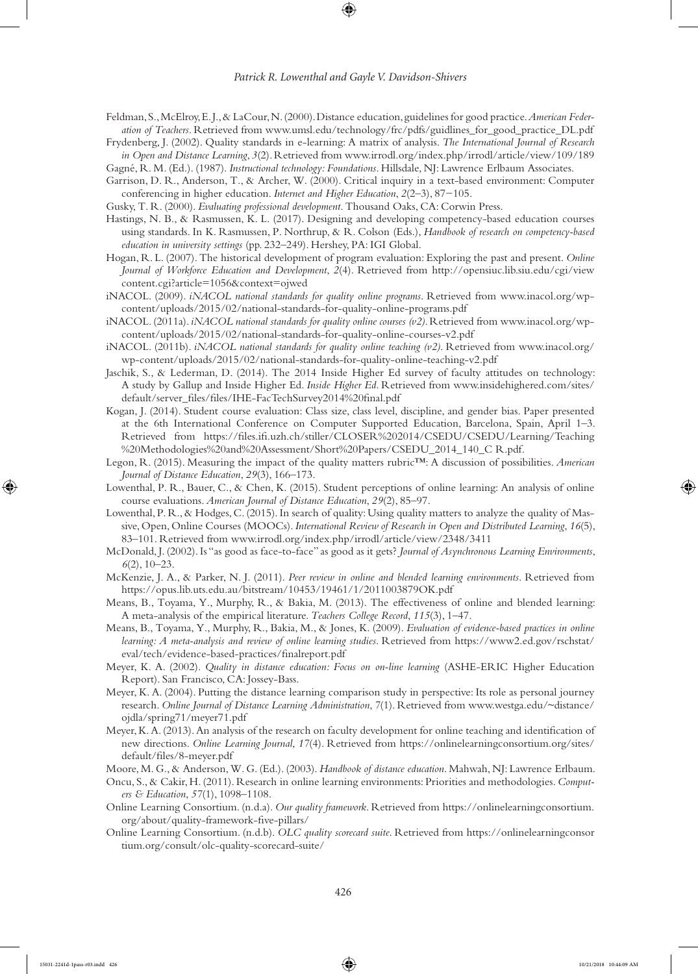⊕

Feldman, S., McElroy, E. J.,& LaCour, N. (2000). Distance education, guidelines for good practice. *American Federation of Teachers*. Retrieved from www.umsl.edu/technology/frc/pdfs/guidlines\_for\_good\_practice\_DL.pdf

Frydenberg, J. (2002). Quality standards in e-learning: A matrix of analysis. *The International Journal of Research in Open and Distance Learning*, *3*(2). Retrieved from www.irrodl.org/index.php/irrodl/article/view/109/189

Gagné, R. M. (Ed.). (1987). *Instructional technology: Foundations*. Hillsdale, NJ: Lawrence Erlbaum Associates.

Garrison, D. R., Anderson, T., & Archer, W. (2000). Critical inquiry in a text-based environment: Computer conferencing in higher education. *Internet and Higher Education*, *2*(2–3), 87−105.

Gusky, T. R. (2000). *Evaluating professional development*. Thousand Oaks, CA: Corwin Press.

- Hastings, N. B., & Rasmussen, K. L. (2017). Designing and developing competency-based education courses using standards. In K. Rasmussen, P. Northrup, & R. Colson (Eds.), *Handbook of research on competency-based education in university settings* (pp. 232–249). Hershey, PA: IGI Global.
- Hogan, R. L. (2007). The historical development of program evaluation: Exploring the past and present. *Online Journal of Workforce Education and Development*, *2*(4). Retrieved from http://opensiuc.lib.siu.edu/cgi/view content.cgi?article=1056&context=ojwed
- iNACOL. (2009). *iNACOL national standards for quality online programs*. Retrieved from www.inacol.org/wpcontent/uploads/2015/02/national-standards-for-quality-online-programs.pdf
- iNACOL. (2011a). *iNACOL national standards for quality online courses (v2)*. Retrieved from www.inacol.org/wpcontent/uploads/2015/02/national-standards-for-quality-online-courses-v2.pdf
- iNACOL. (2011b). *iNACOL national standards for quality online teaching (v2)*. Retrieved from www.inacol.org/ wp-content/uploads/2015/02/national-standards-for-quality-online-teaching-v2.pdf
- Jaschik, S., & Lederman, D. (2014). The 2014 Inside Higher Ed survey of faculty attitudes on technology: A study by Gallup and Inside Higher Ed. *Inside Higher Ed*. Retrieved from www.insidehighered.com/sites/ default/server\_files/files/IHE-FacTechSurvey2014%20final.pdf
- Kogan, J. (2014). Student course evaluation: Class size, class level, discipline, and gender bias. Paper presented at the 6th International Conference on Computer Supported Education, Barcelona, Spain, April 1–3. Retrieved from https://files.ifi.uzh.ch/stiller/CLOSER%202014/CSEDU/CSEDU/Learning/Teaching %20Methodologies%20and%20Assessment/Short%20Papers/CSEDU\_2014\_140\_C R.pdf.
- Legon, R. (2015). Measuring the impact of the quality matters rubric™: A discussion of possibilities. *American Journal of Distance Education*, *29*(3), 166–173.
- Lowenthal, P. R., Bauer, C., & Chen, K. (2015). Student perceptions of online learning: An analysis of online course evaluations. *American Journal of Distance Education*, *29*(2), 85–97.
- Lowenthal, P. R., & Hodges, C. (2015). In search of quality: Using quality matters to analyze the quality of Massive, Open, Online Courses (MOOCs). *International Review of Research in Open and Distributed Learning*, *16*(5), 83–101. Retrieved from www.irrodl.org/index.php/irrodl/article/view/2348/3411
- McDonald, J. (2002). Is "as good as face-to-face" as good as it gets? *Journal of Asynchronous Learning Environments*, *6*(2), 10–23.
- McKenzie, J. A., & Parker, N. J. (2011). *Peer review in online and blended learning environments*. Retrieved from https://opus.lib.uts.edu.au/bitstream/10453/19461/1/2011003879OK.pdf
- Means, B., Toyama, Y., Murphy, R., & Bakia, M. (2013). The effectiveness of online and blended learning: A meta-analysis of the empirical literature. *Teachers College Record*, *115*(3), 1–47.
- Means, B., Toyama, Y., Murphy, R., Bakia, M., & Jones, K. (2009). *Evaluation of evidence-based practices in online learning: A meta-analysis and review of online learning studies*. Retrieved from https://www2.ed.gov/rschstat/ eval/tech/evidence-based-practices/finalreport.pdf
- Meyer, K. A. (2002). *Quality in distance education: Focus on on-line learning* (ASHE-ERIC Higher Education Report). San Francisco, CA: Jossey-Bass.
- Meyer, K. A. (2004). Putting the distance learning comparison study in perspective: Its role as personal journey research. *Online Journal of Distance Learning Administration*, *7*(1). Retrieved from www.westga.edu/~distance/ ojdla/spring71/meyer71.pdf
- Meyer, K. A. (2013). An analysis of the research on faculty development for online teaching and identification of new directions. *Online Learning Journal*, *17*(4). Retrieved from https://onlinelearningconsortium.org/sites/ default/files/8-meyer.pdf

Moore, M. G., & Anderson, W. G. (Ed.). (2003). *Handbook of distance education*. Mahwah, NJ: Lawrence Erlbaum.

- Oncu, S., & Cakir, H. (2011). Research in online learning environments: Priorities and methodologies. *Computers & Education*, *57*(1), 1098–1108.
- Online Learning Consortium. (n.d.a). *Our quality framework*. Retrieved from https://onlinelearningconsortium. org/about/quality-framework-five-pillars/
- Online Learning Consortium. (n.d.b). *OLC quality scorecard suite*. Retrieved from https://onlinelearningconsor tium.org/consult/olc-quality-scorecard-suite/

15031-2241d-1pass-r03.indd 426 10/21/2018 10:44:09 AM